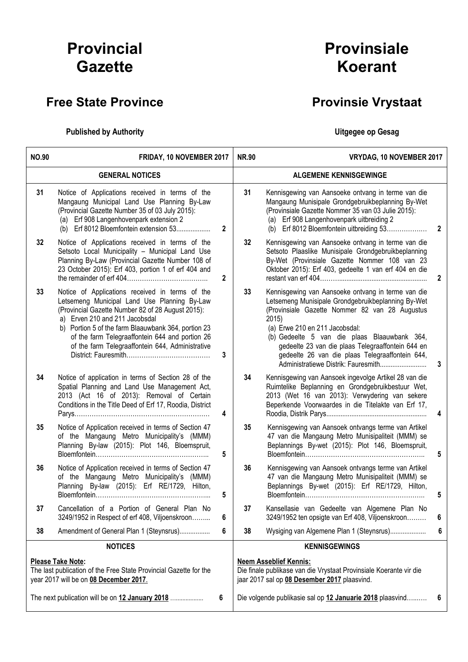# Provincial **Gazette**

## Free State Province **Provinsie Vrystaat**

### Published by Authority **National Execution Control Control Control Control Control Control Control Control Control Control Control Control Control Control Control Control Control Control Control Control Control Control Con**

# Provinsiale Koerant

| <b>NO.90</b>                                                                                                                     | FRIDAY, 10 NOVEMBER 2017                                                                                                                                                                                                                                                                                                                             |                | <b>NR.90</b>                                                                                                                                        | VRYDAG, 10 NOVEMBER 2017                                                                                                                                                                                                                                                                                                                                                                             |              |
|----------------------------------------------------------------------------------------------------------------------------------|------------------------------------------------------------------------------------------------------------------------------------------------------------------------------------------------------------------------------------------------------------------------------------------------------------------------------------------------------|----------------|-----------------------------------------------------------------------------------------------------------------------------------------------------|------------------------------------------------------------------------------------------------------------------------------------------------------------------------------------------------------------------------------------------------------------------------------------------------------------------------------------------------------------------------------------------------------|--------------|
|                                                                                                                                  | <b>GENERAL NOTICES</b>                                                                                                                                                                                                                                                                                                                               |                |                                                                                                                                                     | <b>ALGEMENE KENNISGEWINGE</b>                                                                                                                                                                                                                                                                                                                                                                        |              |
| 31                                                                                                                               | Notice of Applications received in terms of the<br>Mangaung Municipal Land Use Planning By-Law<br>(Provincial Gazette Number 35 of 03 July 2015):<br>(a) Erf 908 Langenhovenpark extension 2<br>(b) Erf 8012 Bloemfontein extension 53                                                                                                               | $\overline{2}$ | 31                                                                                                                                                  | Kennisgewing van Aansoeke ontvang in terme van die<br>Mangaung Munisipale Grondgebruikbeplanning By-Wet<br>(Provinsiale Gazette Nommer 35 van 03 Julie 2015):<br>(a) Erf 908 Langenhovenpark uitbreiding 2<br>(b) Erf 8012 Bloemfontein uitbreiding 53                                                                                                                                               | $\mathbf{2}$ |
| 32                                                                                                                               | Notice of Applications received in terms of the<br>Setsoto Local Municipality - Municipal Land Use<br>Planning By-Law (Provincial Gazette Number 108 of<br>23 October 2015): Erf 403, portion 1 of erf 404 and                                                                                                                                       | $\overline{2}$ | 32 <sub>2</sub>                                                                                                                                     | Kennisgewing van Aansoeke ontvang in terme van die<br>Setsoto Plaaslike Munisipale Grondgebruikbeplanning<br>By-Wet (Provinsiale Gazette Nommer 108 van 23<br>Oktober 2015): Erf 403, gedeelte 1 van erf 404 en die                                                                                                                                                                                  | 2            |
| 33                                                                                                                               | Notice of Applications received in terms of the<br>Letsemeng Municipal Land Use Planning By-Law<br>(Provincial Gazette Number 82 of 28 August 2015):<br>a) Erven 210 and 211 Jacobsdal<br>b) Portion 5 of the farm Blaauwbank 364, portion 23<br>of the farm Telegraaffontein 644 and portion 26<br>of the farm Telegraaffontein 644, Administrative | 3              | 33                                                                                                                                                  | Kennisgewing van Aansoeke ontvang in terme van die<br>Letsemeng Munisipale Grondgebruikbeplanning By-Wet<br>(Provinsiale Gazette Nommer 82 van 28 Augustus<br>2015)<br>(a) Erwe 210 en 211 Jacobsdal:<br>(b) Gedeelte 5 van die plaas Blaauwbank 364,<br>gedeelte 23 van die plaas Telegraaffontein 644 en<br>gedeelte 26 van die plaas Telegraaffontein 644,<br>Administratiewe Distrik: Fauresmith | 3            |
| 34                                                                                                                               | Notice of application in terms of Section 28 of the<br>Spatial Planning and Land Use Management Act,<br>2013 (Act 16 of 2013): Removal of Certain<br>Conditions in the Title Deed of Erf 17, Roodia, District                                                                                                                                        | 4              | 34                                                                                                                                                  | Kennisgewing van Aansoek ingevolge Artikel 28 van die<br>Ruimtelike Beplanning en Grondgebruikbestuur Wet,<br>2013 (Wet 16 van 2013): Verwydering van sekere<br>Beperkende Voorwaardes in die Titelakte van Erf 17,                                                                                                                                                                                  | 4            |
| 35                                                                                                                               | Notice of Application received in terms of Section 47<br>of the Mangaung Metro Municipality's (MMM)<br>Planning By-law (2015): Plot 146, Bloemspruit,                                                                                                                                                                                                | 5              | 35                                                                                                                                                  | Kennisgewing van Aansoek ontvangs terme van Artikel<br>47 van die Mangaung Metro Munisipaliteit (MMM) se<br>Beplannings By-wet (2015): Plot 146, Bloemspruit,                                                                                                                                                                                                                                        | 5            |
| 36                                                                                                                               | Notice of Application received in terms of Section 47<br>of the Mangaung Metro Municipality's (MMM)<br>Planning By-law (2015): Erf RE/1729, Hilton,                                                                                                                                                                                                  | 5              | 36                                                                                                                                                  | Kennisgewing van Aansoek ontvangs terme van Artikel<br>47 van die Mangaung Metro Munisipaliteit (MMM) se<br>Beplannings By-wet (2015): Erf RE/1729, Hilton,                                                                                                                                                                                                                                          | 5            |
| 37                                                                                                                               | Cancellation of a Portion of General Plan No<br>3249/1952 in Respect of erf 408, Viljoenskroon                                                                                                                                                                                                                                                       | 6              | 37                                                                                                                                                  | Kansellasie van Gedeelte van Algemene Plan No<br>3249/1952 ten opsigte van Erf 408, Viljoenskroon                                                                                                                                                                                                                                                                                                    | 6            |
| 38                                                                                                                               | Amendment of General Plan 1 (Steynsrus)                                                                                                                                                                                                                                                                                                              | 6              | 38                                                                                                                                                  | Wysiging van Algemene Plan 1 (Steynsrus)                                                                                                                                                                                                                                                                                                                                                             | 6            |
| <b>NOTICES</b>                                                                                                                   |                                                                                                                                                                                                                                                                                                                                                      |                |                                                                                                                                                     | <b>KENNISGEWINGS</b>                                                                                                                                                                                                                                                                                                                                                                                 |              |
| Please Take Note:<br>The last publication of the Free State Provincial Gazette for the<br>year 2017 will be on 08 December 2017. |                                                                                                                                                                                                                                                                                                                                                      |                | <b>Neem Asseblief Kennis:</b><br>Die finale publikase van die Vrystaat Provinsiale Koerante vir die<br>jaar 2017 sal op 08 Desember 2017 plaasvind. |                                                                                                                                                                                                                                                                                                                                                                                                      |              |
| The next publication will be on 12 January 2018                                                                                  |                                                                                                                                                                                                                                                                                                                                                      | 6              |                                                                                                                                                     | Die volgende publikasie sal op 12 Januarie 2018 plaasvind                                                                                                                                                                                                                                                                                                                                            | 6            |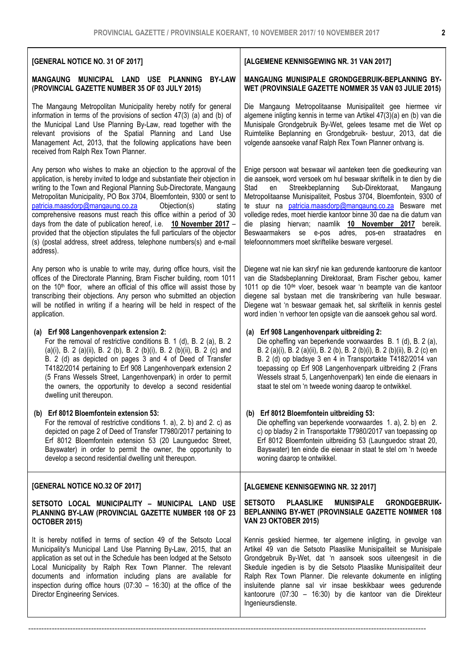### [GENERAL NOTICE NO. 31 OF 2017]

#### MANGAUNG MUNICIPAL LAND USE PLANNING BY-LAW (PROVINCIAL GAZETTE NUMBER 35 OF 03 JULY 2015)

The Mangaung Metropolitan Municipality hereby notify for general information in terms of the provisions of section 47(3) (a) and (b) of the Municipal Land Use Planning By-Law, read together with the relevant provisions of the Spatial Planning and Land Use Management Act, 2013, that the following applications have been received from Ralph Rex Town Planner.

Any person who wishes to make an objection to the approval of the application, is hereby invited to lodge and substantiate their objection in writing to the Town and Regional Planning Sub-Directorate, Mangaung Metropolitan Municipality, PO Box 3704, Bloemfontein, 9300 or sent to patricia.maasdorp@mangaung.co.za Objection(s) stating comprehensive reasons must reach this office within a period of 30 days from the date of publication hereof, i.e. 10 November 2017 provided that the objection stipulates the full particulars of the objector (s) (postal address, street address, telephone numbers(s) and e-mail address).

Any person who is unable to write may, during office hours, visit the offices of the Directorate Planning, Bram Fischer building, room 1011 on the 10<sup>th</sup> floor, where an official of this office will assist those by transcribing their objections. Any person who submitted an objection will be notified in writing if a hearing will be held in respect of the application.

#### (a) Erf 908 Langenhovenpark extension 2:

For the removal of restrictive conditions B. 1 (d), B. 2 (a), B. 2 (a)(i), B. 2 (a)(ii), B. 2 (b), B. 2 (b)(i), B. 2 (b)(ii), B. 2 (c) and B. 2 (d) as depicted on pages 3 and 4 of Deed of Transfer T4182/2014 pertaining to Erf 908 Langenhovenpark extension 2 (5 Frans Wessels Street, Langenhovenpark) in order to permit the owners, the opportunity to develop a second residential dwelling unit thereupon.

#### (b) Erf 8012 Bloemfontein extension 53: For the removal of restrictive conditions 1. a), 2. b) and 2. c) as

depicted on page 2 of Deed of Transfer T7980/2017 pertaining to Erf 8012 Bloemfontein extension 53 (20 Launguedoc Street, Bayswater) in order to permit the owner, the opportunity to develop a second residential dwelling unit thereupon.

#### [GENERAL NOTICE NO.32 OF 2017]

#### SETSOTO LOCAL MUNICIPALITY – MUNICIPAL LAND USE PLANNING BY-LAW (PROVINCIAL GAZETTE NUMBER 108 OF 23 OCTOBER 2015)

It is hereby notified in terms of section 49 of the Setsoto Local Municipality's Municipal Land Use Planning By-Law, 2015, that an application as set out in the Schedule has been lodged at the Setsoto Local Municipality by Ralph Rex Town Planner. The relevant documents and information including plans are available for inspection during office hours  $(07:30 - 16:30)$  at the office of the Director Engineering Services.

--------------------------------------------------------------------------------------------------------------------------------------------------------

#### [ALGEMENE KENNISGEWING NR. 31 VAN 2017]

#### MANGAUNG MUNISIPALE GRONDGEBRUIK-BEPLANNING BY-WET (PROVINSIALE GAZETTE NOMMER 35 VAN 03 JULIE 2015)

Die Mangaung Metropolitaanse Munisipaliteit gee hiermee vir algemene inligting kennis in terme van Artikel 47(3)(a) en (b) van die Munisipale Grondgebruik By-Wet, gelees tesame met die Wet op Ruimtelike Beplanning en Grondgebruik- bestuur, 2013, dat die volgende aansoeke vanaf Ralph Rex Town Planner ontvang is.

Enige persoon wat beswaar wil aanteken teen die goedkeuring van die aansoek, word versoek om hul beswaar skriftelik in te dien by die Stad en Streekbeplanning Sub-Direktoraat, Mangaung Metropolitaanse Munisipaliteit, Posbus 3704, Bloemfontein, 9300 of te stuur na patricia.maasdorp@mangaung.co.za Besware met volledige redes, moet hierdie kantoor binne 30 dae na die datum van die plasing hiervan; naamlik 10 November 2017 bereik. Beswaarmakers se e-pos adres, pos-en straatadres en telefoonnommers moet skriftelike besware vergesel.

Diegene wat nie kan skryf nie kan gedurende kantoorure die kantoor van die Stadsbeplanning Direktoraat, Bram Fischer gebou, kamer 1011 op die 10de vloer, besoek waar 'n beampte van die kantoor diegene sal bystaan met die transkribering van hulle beswaar. Diegene wat 'n beswaar gemaak het, sal skriftelik in kennis gestel word indien 'n verhoor ten opsigte van die aansoek gehou sal word.

#### (a) Erf 908 Langenhovenpark uitbreiding 2:

Die opheffing van beperkende voorwaardes B. 1 (d), B. 2 (a), B. 2 (a)(i), B. 2 (a)(ii), B. 2 (b), B. 2 (b)(i), B. 2 (b)(ii), B. 2 (c) en B. 2 (d) op bladsye 3 en 4 in Transportakte T4182/2014 van toepassing op Erf 908 Langenhovenpark uitbreiding 2 (Frans Wessels straat 5, Langenhovenpark) ten einde die eienaars in staat te stel om 'n tweede woning daarop te ontwikkel.

#### (b) Erf 8012 Bloemfontein uitbreiding 53:

Die opheffing van beperkende voorwaardes 1. a), 2. b) en 2. c) op bladsy 2 in Transportakte T7980/2017 van toepassing op Erf 8012 Bloemfontein uitbreiding 53 (Launguedoc straat 20, Bayswater) ten einde die eienaar in staat te stel om 'n tweede woning daarop te ontwikkel.

#### [ALGEMENE KENNISGEWING NR. 32 2017]

#### SETSOTO PLAASLIKE MUNISIPALE GRONDGEBRUIK-BEPLANNING BY-WET (PROVINSIALE GAZETTE NOMMER 108 VAN 23 OKTOBER 2015)

Kennis geskied hiermee, ter algemene inligting, in gevolge van Artikel 49 van die Setsoto Plaaslike Munisipaliteit se Munisipale Grondgebruik By-Wet, dat 'n aansoek soos uiteengesit in die Skedule ingedien is by die Setsoto Plaaslike Munisipaliteit deur Ralph Rex Town Planner. Die relevante dokumente en inligting insluitende planne sal vir insae beskikbaar wees gedurende kantoorure (07:30 – 16:30) by die kantoor van die Direkteur Ingenieursdienste.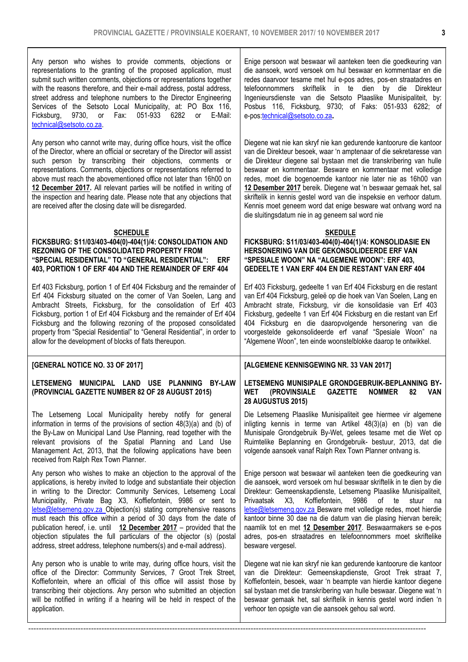Any person who wishes to provide comments, objections or representations to the granting of the proposed application, must submit such written comments, objections or representations together with the reasons therefore, and their e-mail address, postal address, street address and telephone numbers to the Director Engineering Services of the Setsoto Local Municipality, at: PO Box 116,<br>Ficksburg, 9730, or Fax: 051-933 6282 or F-Mail: Ficksburg, 9730, or Fax: 051-933 6282 or technical@setsoto.co.za.

Any person who cannot write may, during office hours, visit the office of the Director, where an official or secretary of the Director will assist such person by transcribing their objections, comments or representations. Comments, objections or representations referred to above must reach the abovementioned office not later than 16h00 on 12 December 2017. All relevant parties will be notified in writing of the inspection and hearing date. Please note that any objections that are received after the closing date will be disregarded.

#### **SCHEDULE**

#### FICKSBURG: S11/03/403-404(0)-404(1)/4: CONSOLIDATION AND REZONING OF THE CONSOLIDATED PROPERTY FROM "SPECIAL RESIDENTIAL" TO "GENERAL RESIDENTIAL": ERF 403, PORTION 1 OF ERF 404 AND THE REMAINDER OF ERF 404

Erf 403 Ficksburg, portion 1 of Erf 404 Ficksburg and the remainder of Erf 404 Ficksburg situated on the corner of Van Soelen, Lang and Ambracht Streets, Ficksburg, for the consolidation of Erf 403 Ficksburg, portion 1 of Erf 404 Ficksburg and the remainder of Erf 404 Ficksburg and the following rezoning of the proposed consolidated property from "Special Residential" to "General Residential", in order to allow for the development of blocks of flats thereupon.

### [GENERAL NOTICE NO. 33 OF 2017]

#### LETSEMENG MUNICIPAL LAND USE PLANNING BY-LAW (PROVINCIAL GAZETTE NUMBER 82 OF 28 AUGUST 2015)

The Letsemeng Local Municipality hereby notify for general information in terms of the provisions of section 48(3)(a) and (b) of the By-Law on Municipal Land Use Planning, read together with the relevant provisions of the Spatial Planning and Land Use Management Act, 2013, that the following applications have been received from Ralph Rex Town Planner.

Any person who wishes to make an objection to the approval of the applications, is hereby invited to lodge and substantiate their objection in writing to the Director: Community Services, Letsemeng Local Municipality, Private Bag X3, Koffiefontein, 9986 or sent to letse@letsemeng.gov.za Objection(s) stating comprehensive reasons must reach this office within a period of 30 days from the date of publication hereof, i.e. until 12 December 2017 – provided that the objection stipulates the full particulars of the objector (s) (postal address, street address, telephone numbers(s) and e-mail address).

Any person who is unable to write may, during office hours, visit the office of the Director: Community Services, 7 Groot Trek Street, Koffiefontein, where an official of this office will assist those by transcribing their objections. Any person who submitted an objection will be notified in writing if a hearing will be held in respect of the application.

--------------------------------------------------------------------------------------------------------------------------------------------------------

Enige persoon wat beswaar wil aanteken teen die goedkeuring van die aansoek, word versoek om hul beswaar en kommentaar en die redes daarvoor tesame met hul e-pos adres, pos-en straatadres en telefoonnommers skriftelik in te dien by die Direkteur Ingenieursdienste van die Setsoto Plaaslike Munisipaliteit, by: Posbus 116, Ficksburg, 9730; of Faks: 051-933 6282; of e-pos:technical@setsoto.co.za.

Diegene wat nie kan skryf nie kan gedurende kantoorure die kantoor van die Direkteur besoek, waar 'n amptenaar of die sekretaresse van die Direkteur diegene sal bystaan met die transkribering van hulle beswaar en kommentaar. Besware en kommentaar met volledige redes, moet die bogenoemde kantoor nie later nie as 16h00 van 12 Desember 2017 bereik. Diegene wat 'n beswaar gemaak het, sal skriftelik in kennis gestel word van die inspeksie en verhoor datum. Kennis moet geneem word dat enige besware wat ontvang word na die sluitingsdatum nie in ag geneem sal word nie

#### SKEDULE

FICKSBURG: S11/03/403-404(0)-404(1)/4: KONSOLIDASIE EN HERSONERING VAN DIE GEKONSOLIDEERDE ERF VAN "SPESIALE WOON" NA "ALGEMENE WOON": ERF 403, GEDEELTE 1 VAN ERF 404 EN DIE RESTANT VAN ERF 404

Erf 403 Ficksburg, gedeelte 1 van Erf 404 Ficksburg en die restant van Erf 404 Ficksburg, geleë op die hoek van Van Soelen, Lang en Ambracht strate, Ficksburg, vir die konsolidasie van Erf 403 Ficksburg, gedeelte 1 van Erf 404 Ficksburg en die restant van Erf 404 Ficksburg en die daaropvolgende hersonering van die voorgestelde gekonsolideerde erf vanaf "Spesiale Woon" na "Algemene Woon", ten einde woonstelblokke daarop te ontwikkel.

#### [ALGEMENE KENNISGEWING NR. 33 VAN 2017]

#### LETSEMENG MUNISIPALE GRONDGEBRUIK-BEPLANNING BY-<br>WET (PROVINSIALE GAZETTE NOMMER 82 VAN (PROVINSIALE GAZETTE NOMMER 82 28 AUGUSTUS 2015)

Die Letsemeng Plaaslike Munisipaliteit gee hiermee vir algemene inligting kennis in terme van Artikel 48(3)(a) en (b) van die Munisipale Grondgebruik By-Wet, gelees tesame met die Wet op Ruimtelike Beplanning en Grondgebruik- bestuur, 2013, dat die volgende aansoek vanaf Ralph Rex Town Planner ontvang is.

Enige persoon wat beswaar wil aanteken teen die goedkeuring van die aansoek, word versoek om hul beswaar skriftelik in te dien by die Direkteur: Gemeenskapdienste, Letsemeng Plaaslike Munisipaliteit, Koffiefontein, 9986 of te stuur na letse@letsemeng.gov.za Besware met volledige redes, moet hierdie kantoor binne 30 dae na die datum van die plasing hiervan bereik; naamlik tot en met 12 Desember 2017. Beswaarmakers se e-pos adres, pos-en straatadres en telefoonnommers moet skriftelike besware vergesel.

Diegene wat nie kan skryf nie kan gedurende kantoorure die kantoor van die Direkteur: Gemeenskapdienste, Groot Trek straat 7, Koffiefontein, besoek, waar 'n beampte van hierdie kantoor diegene sal bystaan met die transkribering van hulle beswaar. Diegene wat 'n beswaar gemaak het, sal skriftelik in kennis gestel word indien 'n verhoor ten opsigte van die aansoek gehou sal word.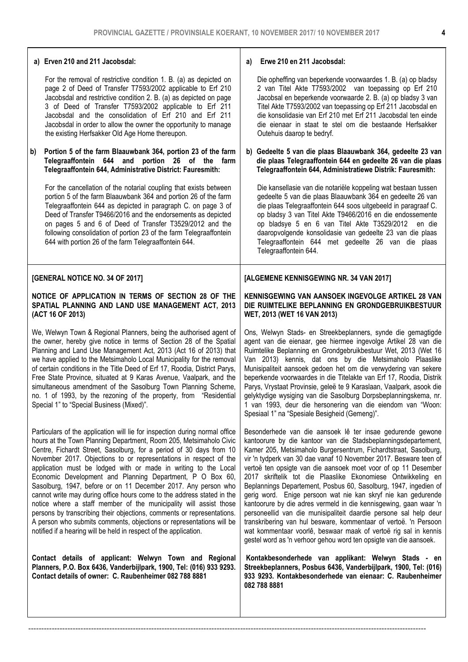#### a) Erven 210 and 211 Jacobsdal:

For the removal of restrictive condition 1. B. (a) as depicted on page 2 of Deed of Transfer T7593/2002 applicable to Erf 210 Jacobsdal and restrictive condition 2. B. (a) as depicted on page 3 of Deed of Transfer T7593/2002 applicable to Erf 211 Jacobsdal and the consolidation of Erf 210 and Erf 211 Jacobsdal in order to allow the owner the opportunity to manage the existing Herfsakker Old Age Home thereupon.

#### b) Portion 5 of the farm Blaauwbank 364, portion 23 of the farm Telegraaffontein 644 and portion 26 of the farm Telegraaffontein 644, Administrative District: Fauresmith:

For the cancellation of the notarial coupling that exists between portion 5 of the farm Blaauwbank 364 and portion 26 of the farm Telegraaffontein 644 as depicted in paragraph C. on page 3 of Deed of Transfer T9466/2016 and the endorsements as depicted on pages 5 and 6 of Deed of Transfer T3529/2012 and the following consolidation of portion 23 of the farm Telegraaffontein 644 with portion 26 of the farm Telegraaffontein 644.

#### [GENERAL NOTICE NO. 34 OF 2017]

#### NOTICE OF APPLICATION IN TERMS OF SECTION 28 OF THE SPATIAL PLANNING AND LAND USE MANAGEMENT ACT, 2013 (ACT 16 OF 2013)

We, Welwyn Town & Regional Planners, being the authorised agent of the owner, hereby give notice in terms of Section 28 of the Spatial Planning and Land Use Management Act, 2013 (Act 16 of 2013) that we have applied to the Metsimaholo Local Municipality for the removal of certain conditions in the Title Deed of Erf 17, Roodia, District Parys, Free State Province, situated at 9 Karas Avenue, Vaalpark, and the simultaneous amendment of the Sasolburg Town Planning Scheme, no. 1 of 1993, by the rezoning of the property, from "Residential Special 1" to "Special Business (Mixed)".

Particulars of the application will lie for inspection during normal office hours at the Town Planning Department, Room 205, Metsimaholo Civic Centre, Fichardt Street, Sasolburg, for a period of 30 days from 10 November 2017. Objections to or representations in respect of the application must be lodged with or made in writing to the Local Economic Development and Planning Department, P O Box 60, Sasolburg, 1947, before or on 11 December 2017. Any person who cannot write may during office hours come to the address stated in the notice where a staff member of the municipality will assist those persons by transcribing their objections, comments or representations. A person who submits comments, objections or representations will be notified if a hearing will be held in respect of the application.

Contact details of applicant: Welwyn Town and Regional Planners, P.O. Box 6436, Vanderbijlpark, 1900, Tel: (016) 933 9293. Contact details of owner: C. Raubenheimer 082 788 8881

--------------------------------------------------------------------------------------------------------------------------------------------------------

#### a) Erwe 210 en 211 Jacobsdal:

Die opheffing van beperkende voorwaardes 1. B. (a) op bladsy 2 van Titel Akte T7593/2002 van toepassing op Erf 210 Jacobsal en beperkende voorwaarde 2. B. (a) op bladsy 3 van Titel Akte T7593/2002 van toepassing op Erf 211 Jacobsdal en die konsolidasie van Erf 210 met Erf 211 Jacobsdal ten einde die eienaar in staat te stel om die bestaande Herfsakker Outehuis daarop te bedryf.

b) Gedeelte 5 van die plaas Blaauwbank 364, gedeelte 23 van die plaas Telegraaffontein 644 en gedeelte 26 van die plaas Telegraaffontein 644, Administratiewe Distrik: Fauresmith:

Die kansellasie van die notariële koppeling wat bestaan tussen gedeelte 5 van die plaas Blaauwbank 364 en gedeelte 26 van die plaas Telegraaffontein 644 soos uitgebeeld in paragraaf C. op bladsy 3 van Titel Akte T9466/2016 en die endossemente op bladsye 5 en 6 van Titel Akte T3529/2012 en die daaropvolgende konsolidasie van gedeelte 23 van die plaas Telegraaffontein 644 met gedeelte 26 van die plaas Telegraaffontein 644.

#### [ALGEMENE KENNISGEWING NR. 34 VAN 2017]

#### KENNISGEWING VAN AANSOEK INGEVOLGE ARTIKEL 28 VAN DIE RUIMTELIKE BEPLANNING EN GRONDGEBRUIKBESTUUR WET, 2013 (WET 16 VAN 2013)

Ons, Welwyn Stads- en Streekbeplanners, synde die gemagtigde agent van die eienaar, gee hiermee ingevolge Artikel 28 van die Ruimtelike Beplanning en Grondgebruikbestuur Wet, 2013 (Wet 16 Van 2013) kennis, dat ons by die Metsimaholo Plaaslike Munisipaliteit aansoek gedoen het om die verwydering van sekere beperkende voorwaardes in die Titelakte van Erf 17, Roodia, Distrik Parys, Vrystaat Provinsie, geleë te 9 Karaslaan, Vaalpark, asook die gelyktydige wysiging van die Sasolburg Dorpsbeplanningskema, nr. 1 van 1993, deur die hersonering van die eiendom van "Woon: Spesiaal 1" na "Spesiale Besigheid (Gemeng)".

Besonderhede van die aansoek lê ter insae gedurende gewone kantoorure by die kantoor van die Stadsbeplanningsdepartement, Kamer 205, Metsimaholo Burgersentrum, Fichardtstraat, Sasolburg, vir 'n tydperk van 30 dae vanaf 10 November 2017. Besware teen of vertoë ten opsigte van die aansoek moet voor of op 11 Desember 2017 skriftelik tot die Plaaslike Ekonomiese Ontwikkeling en Beplannings Departement, Posbus 60, Sasolburg, 1947, ingedien of gerig word. Enige persoon wat nie kan skryf nie kan gedurende kantoorure by die adres vermeld in die kennisgewing, gaan waar 'n personeellid van die munisipaliteit daardie persone sal help deur transkribering van hul besware, kommentaar of vertoë. 'n Persoon wat kommentaar voorlê, beswaar maak of vertoë rig sal in kennis gestel word as 'n verhoor gehou word ten opsigte van die aansoek.

Kontakbesonderhede van applikant: Welwyn Stads - en Streekbeplanners, Posbus 6436, Vanderbijlpark, 1900, Tel: (016) 933 9293. Kontakbesonderhede van eienaar: C. Raubenheimer 082 788 8881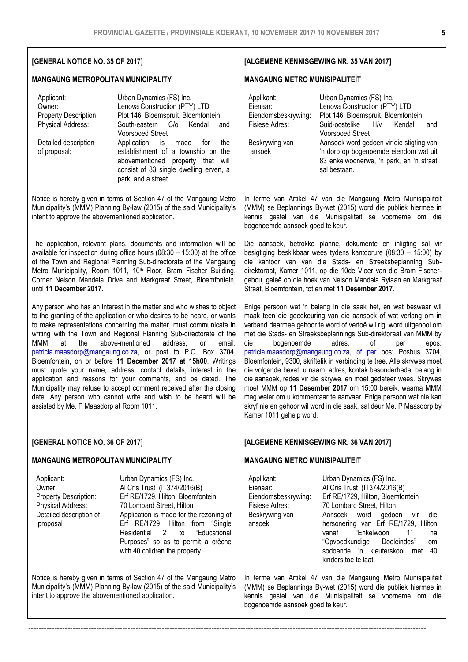[ALGEMENE KENNISGEWING NR. 35 VAN 2017]

MANGAUNG METRO MUNISIPALITEIT

### [GENERAL NOTICE NO. 35 OF 2017]

#### MANGAUNG METROPOLITAN MUNICIPALITY

| Applicant:<br>Owner:<br>Property Description:<br>Physical Address:<br>Detailed description<br>of proposal: | Urban Dynamics (FS) Inc.<br>Lenova Construction (PTY) LTD<br>Plot 146, Bloemspruit, Bloemfontein<br>South-eastern C/o<br>Kendal<br>and<br><b>Voorspoed Street</b><br>Application<br>is<br>made<br>for<br>the<br>establishment of a township on the<br>abovementioned property that<br>will<br>consist of 83 single dwelling erven, a<br>park, and a street.                                                                                                                                                                                                                                                                                                                                                                                                      | Applikant:<br>Eienaar:<br>Eiendomsbeskrywing:<br>Fisiese Adres:<br>Beskrywing van<br>ansoek                                                                                                                                                                                                                                                                                                                                                                                                                                                                                                                                                                                                                                                                                                                                                           | Urban Dynamics (FS) Inc.<br>Lenova Construction (PTY) LTD<br>Plot 146, Bloemspruit, Bloemfontein<br>Suid-oostelike<br>H/v<br>Kendal<br>and<br><b>Voorspoed Street</b><br>Aansoek word gedoen vir die stigting van<br>'n dorp op bogenoemde eiendom wat uit<br>83 enkelwoonerwe, 'n park, en 'n straat<br>sal bestaan.                             |  |
|------------------------------------------------------------------------------------------------------------|------------------------------------------------------------------------------------------------------------------------------------------------------------------------------------------------------------------------------------------------------------------------------------------------------------------------------------------------------------------------------------------------------------------------------------------------------------------------------------------------------------------------------------------------------------------------------------------------------------------------------------------------------------------------------------------------------------------------------------------------------------------|-------------------------------------------------------------------------------------------------------------------------------------------------------------------------------------------------------------------------------------------------------------------------------------------------------------------------------------------------------------------------------------------------------------------------------------------------------------------------------------------------------------------------------------------------------------------------------------------------------------------------------------------------------------------------------------------------------------------------------------------------------------------------------------------------------------------------------------------------------|---------------------------------------------------------------------------------------------------------------------------------------------------------------------------------------------------------------------------------------------------------------------------------------------------------------------------------------------------|--|
| intent to approve the abovementioned application.                                                          | Notice is hereby given in terms of Section 47 of the Mangaung Metro<br>Municipality's (MMM) Planning By-law (2015) of the said Municipality's                                                                                                                                                                                                                                                                                                                                                                                                                                                                                                                                                                                                                    | In terme van Artikel 47 van die Mangaung Metro Munisipaliteit<br>(MMM) se Beplannings By-wet (2015) word die publiek hiermee in<br>kennis gestel van die Munisipaliteit se voorneme om die<br>bogenoemde aansoek goed te keur.                                                                                                                                                                                                                                                                                                                                                                                                                                                                                                                                                                                                                        |                                                                                                                                                                                                                                                                                                                                                   |  |
| until 11 December 2017.                                                                                    | The application, relevant plans, documents and information will be<br>available for inspection during office hours $(08:30 - 15:00)$ at the office<br>of the Town and Regional Planning Sub-directorate of the Mangaung<br>Metro Municipality, Room 1011, 10 <sup>th</sup> Floor, Bram Fischer Building,<br>Corner Nelson Mandela Drive and Markgraaf Street, Bloemfontein,                                                                                                                                                                                                                                                                                                                                                                                      | Die aansoek, betrokke planne, dokumente en inligting sal vir<br>besigtiging beskikbaar wees tydens kantoorure (08:30 - 15:00) by<br>die kantoor van van die Stads- en Streeksbeplanning Sub-<br>direktoraat, Kamer 1011, op die 10de Vloer van die Bram Fischer-<br>gebou, geleë op die hoek van Nelson Mandela Rylaan en Markgraaf<br>Straat, Bloemfontein, tot en met 11 Desember 2017.                                                                                                                                                                                                                                                                                                                                                                                                                                                             |                                                                                                                                                                                                                                                                                                                                                   |  |
| <b>MMM</b><br>at<br>the<br>assisted by Me. P Maasdorp at Room 1011.                                        | Any person who has an interest in the matter and who wishes to object<br>to the granting of the application or who desires to be heard, or wants<br>to make representations concerning the matter, must communicate in<br>writing with the Town and Regional Planning Sub-directorate of the<br>above-mentioned<br>address,<br><b>or</b><br>email:<br>patricia.maasdorp@mangaung.co.za, or post to P.O. Box 3704,<br>Bloemfontein, on or before 11 December 2017 at 15h00. Writings<br>must quote your name, address, contact details, interest in the<br>application and reasons for your comments, and be dated. The<br>Municipality may refuse to accept comment received after the closing<br>date. Any person who cannot write and wish to be heard will be | Enige persoon wat 'n belang in die saak het, en wat beswaar wil<br>maak teen die goedkeuring van die aansoek of wat verlang om in<br>verband daarmee gehoor te word of vertoë wil rig, word uitgenooi om<br>met die Stads- en Streeksbeplannings Sub-direktoraat van MMM by<br>bogenoemde<br>die<br>adres,<br>οf<br>per<br>epos:<br>patricia.maasdorp@mangaung.co.za, of per pos: Posbus 3704,<br>Bloemfontein, 9300, skriftelik in verbinding te tree. Alle skrywes moet<br>die volgende bevat: u naam, adres, kontak besonderhede, belang in<br>die aansoek, redes vir die skrywe, en moet gedateer wees. Skrywes<br>moet MMM op 11 Desember 2017 om 15:00 bereik, waarna MMM<br>mag weier om u kommentaar te aanvaar. Enige persoon wat nie kan<br>skryf nie en gehoor wil word in die saak, sal deur Me. P Maasdorp by<br>Kamer 1011 gehelp word. |                                                                                                                                                                                                                                                                                                                                                   |  |
| [GENERAL NOTICE NO. 36 OF 2017]                                                                            |                                                                                                                                                                                                                                                                                                                                                                                                                                                                                                                                                                                                                                                                                                                                                                  | [ALGEMENE KENNISGEWING NR. 36 VAN 2017]                                                                                                                                                                                                                                                                                                                                                                                                                                                                                                                                                                                                                                                                                                                                                                                                               |                                                                                                                                                                                                                                                                                                                                                   |  |
| <b>MANGAUNG METROPOLITAN MUNICIPALITY</b>                                                                  |                                                                                                                                                                                                                                                                                                                                                                                                                                                                                                                                                                                                                                                                                                                                                                  | <b>MANGAUNG METRO MUNISIPALITEIT</b>                                                                                                                                                                                                                                                                                                                                                                                                                                                                                                                                                                                                                                                                                                                                                                                                                  |                                                                                                                                                                                                                                                                                                                                                   |  |
| Applicant:<br>Owner:<br>Property Description:<br>Physical Address:<br>Detailed description of<br>proposal  | Urban Dynamics (FS) Inc.<br>Al Cris Trust (IT374/2016(B)<br>Erf RE/1729, Hilton, Bloemfontein<br>70 Lombard Street, Hilton<br>Application is made for the rezoning of<br>Erf RE/1729, Hilton from "Single<br>2"<br>"Educational<br>Residential<br>to<br>Purposes" so as to permit a crèche<br>with 40 children the property.                                                                                                                                                                                                                                                                                                                                                                                                                                     | Applikant:<br>Eienaar:<br>Eiendomsbeskrywing:<br>Fisiese Adres:<br>Beskrywing van<br>ansoek                                                                                                                                                                                                                                                                                                                                                                                                                                                                                                                                                                                                                                                                                                                                                           | Urban Dynamics (FS) Inc.<br>Al Cris Trust (IT374/2016(B)<br>Erf RE/1729, Hilton, Bloemfontein<br>70 Lombard Street, Hilton<br>Aansoek word gedoen<br>die<br>vir<br>hersonering van Erf RE/1729, Hilton<br>"Enkelwoon<br>1"<br>vanaf<br>na<br>"Opvoedkundige<br>Doeleindes"<br>om<br>sodoende 'n kleuterskool<br>40<br>met<br>kinders toe te laat. |  |
| intent to approve the abovementioned application.                                                          | Notice is hereby given in terms of Section 47 of the Mangaung Metro<br>Municipality's (MMM) Planning By-law (2015) of the said Municipality's                                                                                                                                                                                                                                                                                                                                                                                                                                                                                                                                                                                                                    | In terme van Artikel 47 van die Mangaung Metro Munisipaliteit<br>(MMM) se Beplannings By-wet (2015) word die publiek hiermee in<br>kennis gestel van die Munisipaliteit se voorneme om die<br>bogenoemde aansoek goed te keur.                                                                                                                                                                                                                                                                                                                                                                                                                                                                                                                                                                                                                        |                                                                                                                                                                                                                                                                                                                                                   |  |
|                                                                                                            |                                                                                                                                                                                                                                                                                                                                                                                                                                                                                                                                                                                                                                                                                                                                                                  |                                                                                                                                                                                                                                                                                                                                                                                                                                                                                                                                                                                                                                                                                                                                                                                                                                                       |                                                                                                                                                                                                                                                                                                                                                   |  |